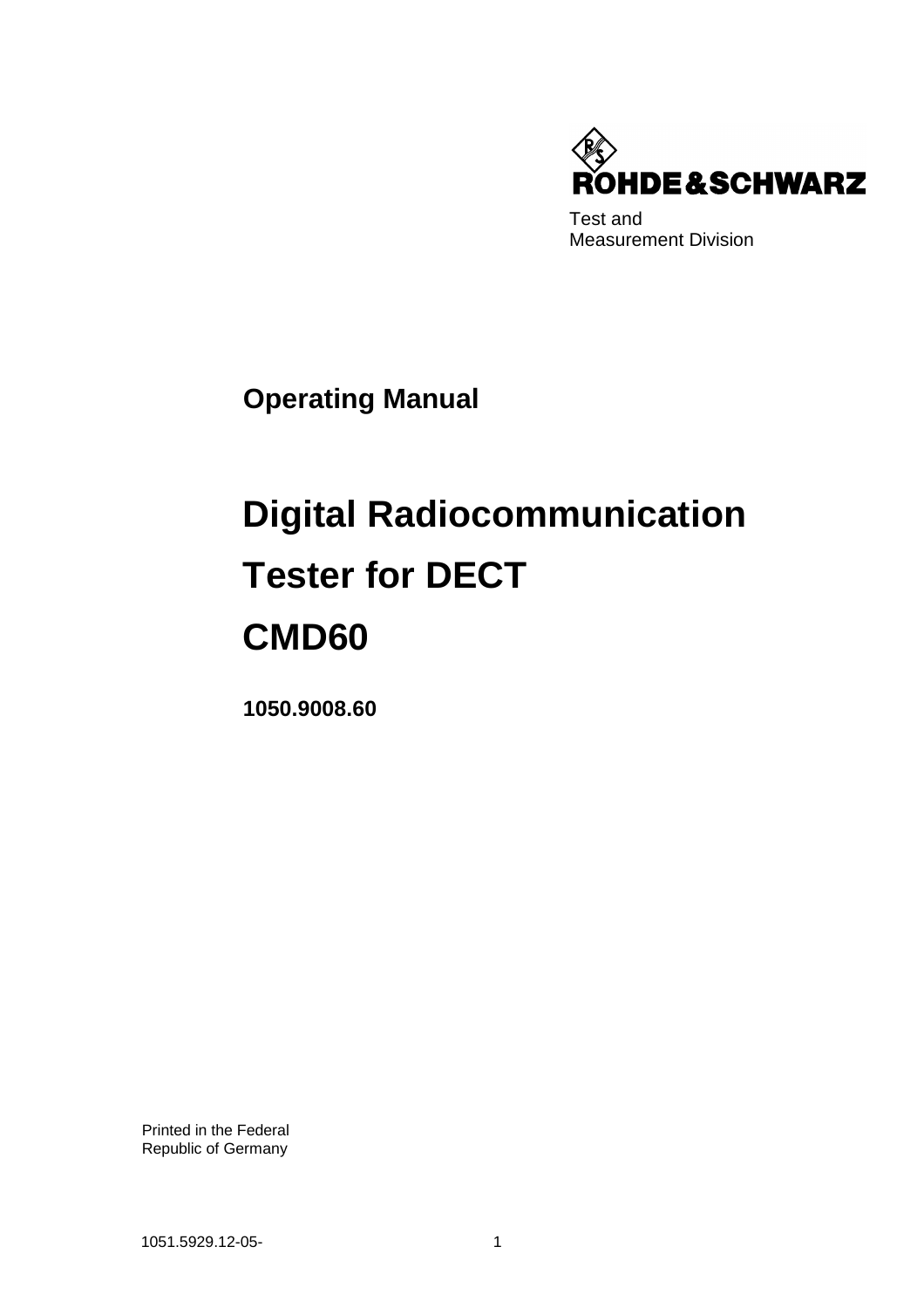

Test and Measurement Division

**Operating Manual**

# **Digital Radiocommunication Tester for DECT CMD60**

**1050.9008.60**

Printed in the Federal Republic of Germany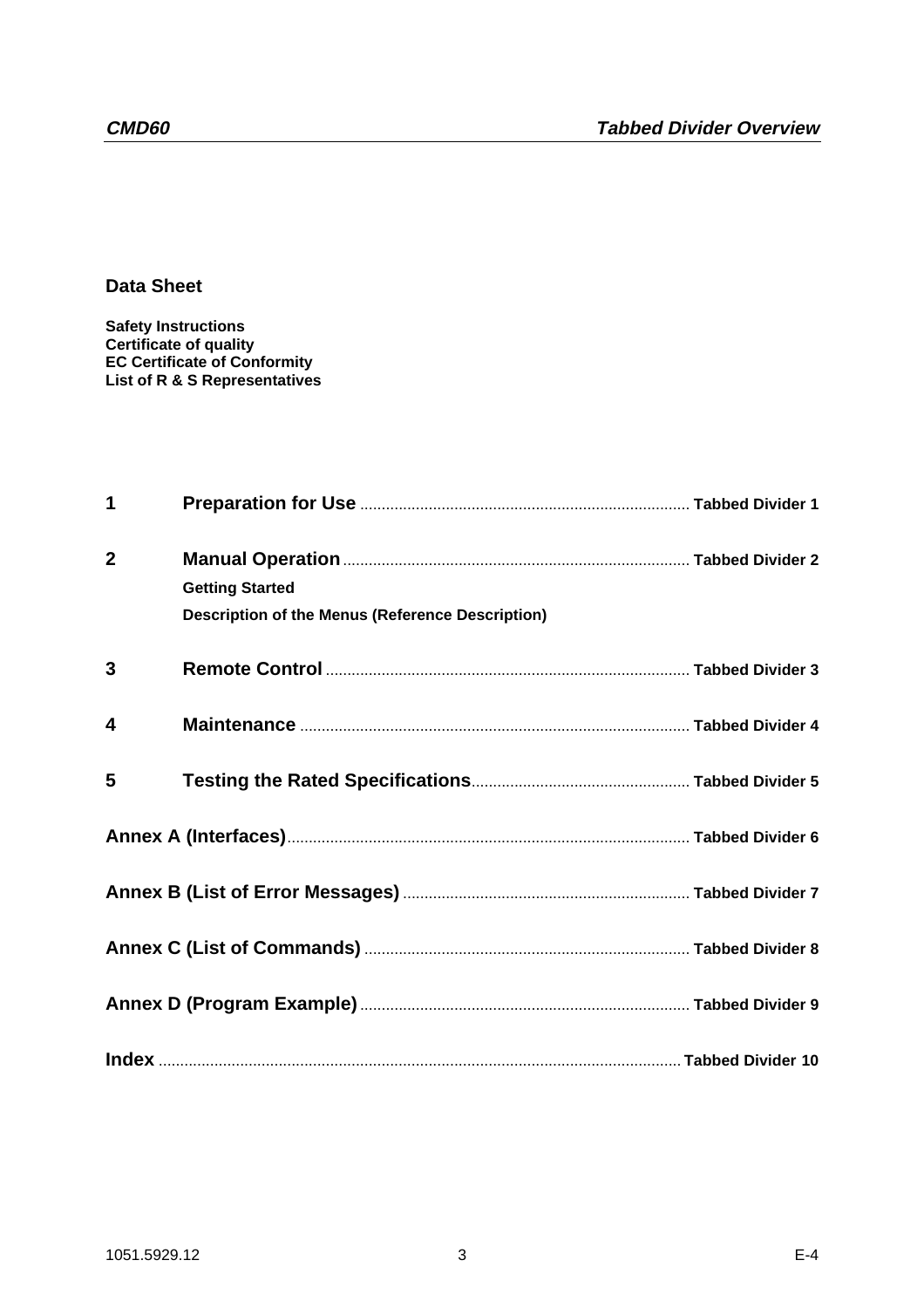**Data Sheet**

**Safety Instructions Certificate of quality EC Certificate of Conformity List of R & S Representatives**

| $\mathbf 1$             |                                                         |  |
|-------------------------|---------------------------------------------------------|--|
| $\overline{2}$          | <b>Getting Started</b>                                  |  |
|                         | <b>Description of the Menus (Reference Description)</b> |  |
| $\overline{3}$          |                                                         |  |
| $\overline{\mathbf{4}}$ |                                                         |  |
| 5                       |                                                         |  |
|                         |                                                         |  |
|                         |                                                         |  |
|                         |                                                         |  |
|                         |                                                         |  |
|                         |                                                         |  |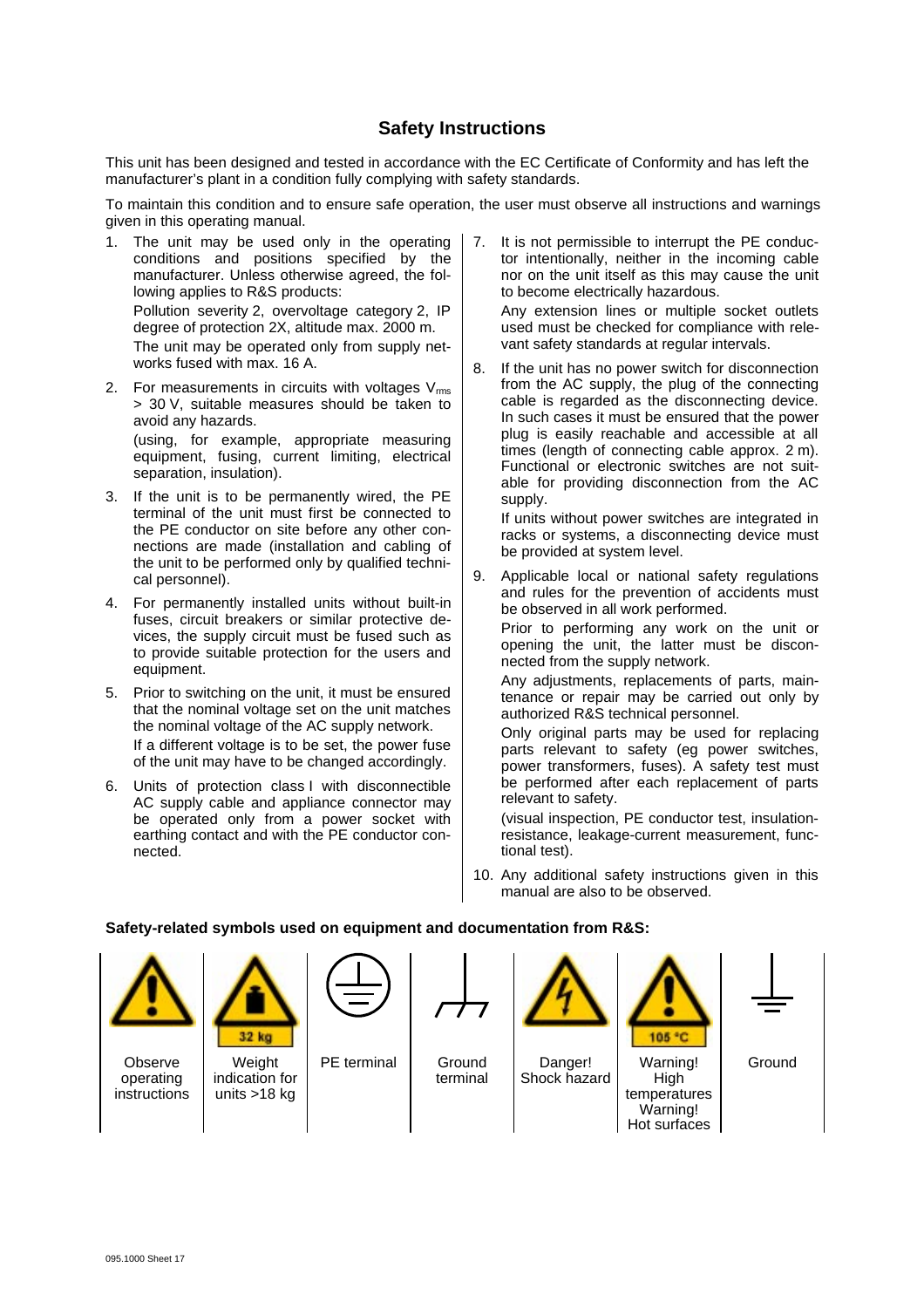#### **Safety Instructions**

This unit has been designed and tested in accordance with the EC Certificate of Conformity and has left the manufacturer's plant in a condition fully complying with safety standards.

To maintain this condition and to ensure safe operation, the user must observe all instructions and warnings given in this operating manual.

- 1. The unit may be used only in the operating conditions and positions specified by the manufacturer. Unless otherwise agreed, the following applies to R&S products: Pollution severity 2, overvoltage category 2, IP degree of protection 2X, altitude max. 2000 m. The unit may be operated only from supply networks fused with max. 16 A.
- 2. For measurements in circuits with voltages  $V_{\text{rms}}$ > 30 V, suitable measures should be taken to avoid any hazards.

(using, for example, appropriate measuring equipment, fusing, current limiting, electrical separation, insulation).

- 3. If the unit is to be permanently wired, the PE terminal of the unit must first be connected to the PE conductor on site before any other connections are made (installation and cabling of the unit to be performed only by qualified technical personnel).
- 4. For permanently installed units without built-in fuses, circuit breakers or similar protective devices, the supply circuit must be fused such as to provide suitable protection for the users and equipment.
- 5. Prior to switching on the unit, it must be ensured that the nominal voltage set on the unit matches the nominal voltage of the AC supply network. If a different voltage is to be set, the power fuse of the unit may have to be changed accordingly.
- 6. Units of protection class I with disconnectible AC supply cable and appliance connector may be operated only from a power socket with earthing contact and with the PE conductor connected.

7. It is not permissible to interrupt the PE conductor intentionally, neither in the incoming cable nor on the unit itself as this may cause the unit to become electrically hazardous.

Any extension lines or multiple socket outlets used must be checked for compliance with relevant safety standards at regular intervals.

8. If the unit has no power switch for disconnection from the AC supply, the plug of the connecting cable is regarded as the disconnecting device. In such cases it must be ensured that the power plug is easily reachable and accessible at all times (length of connecting cable approx. 2 m). Functional or electronic switches are not suitable for providing disconnection from the AC supply.

If units without power switches are integrated in racks or systems, a disconnecting device must be provided at system level.

9. Applicable local or national safety regulations and rules for the prevention of accidents must be observed in all work performed.

Prior to performing any work on the unit or opening the unit, the latter must be disconnected from the supply network.

Any adjustments, replacements of parts, maintenance or repair may be carried out only by authorized R&S technical personnel.

Only original parts may be used for replacing parts relevant to safety (eg power switches, power transformers, fuses). A safety test must be performed after each replacement of parts relevant to safety.

(visual inspection, PE conductor test, insulationresistance, leakage-current measurement, functional test).

Hot surfaces

10. Any additional safety instructions given in this manual are also to be observed.

#### **Safety-related symbols used on equipment and documentation from R&S:**



Observe operating instructions



indication for units >18 kg

PE terminal Ground

terminal

Danger! Shock hazard

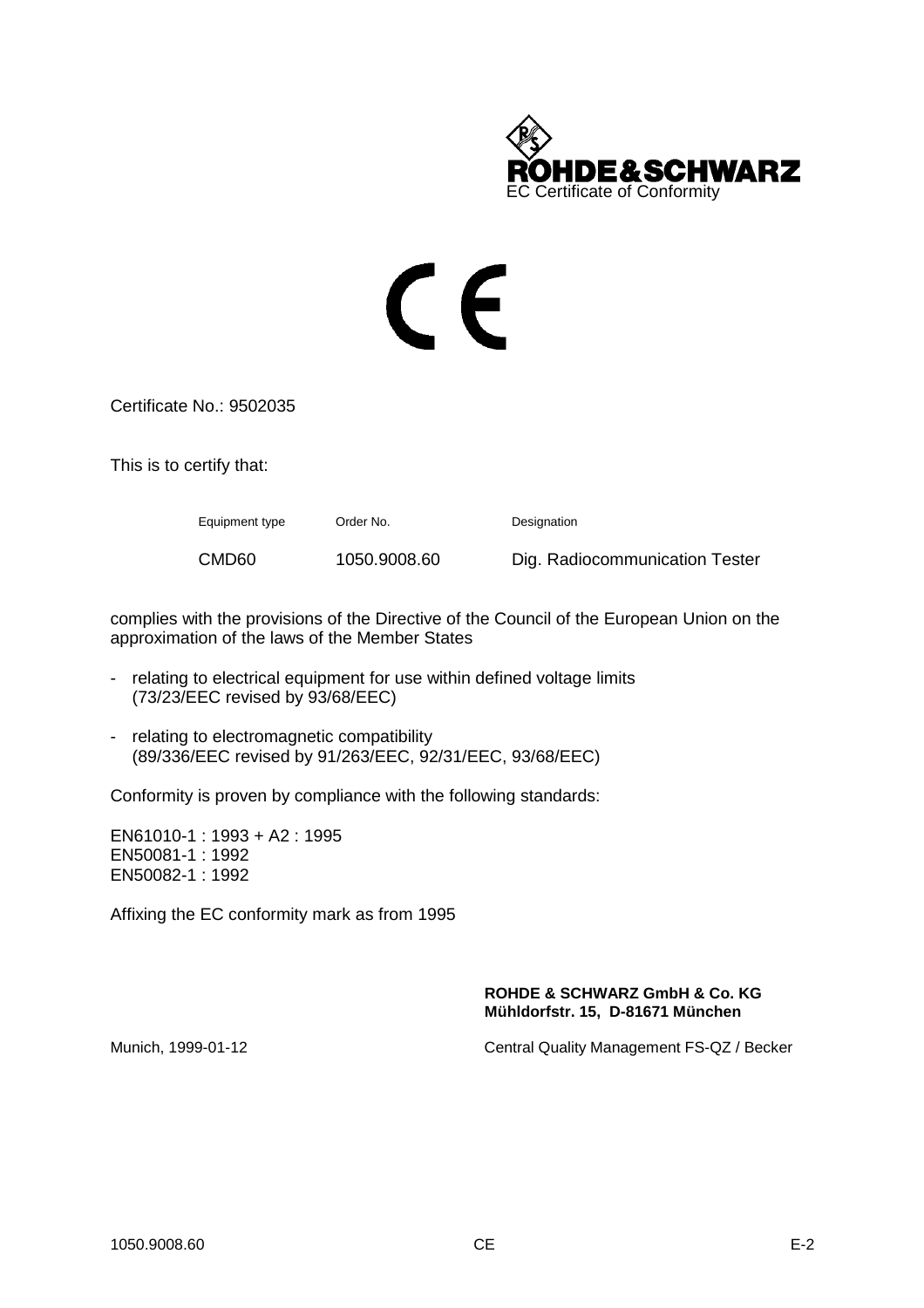

# CE

Certificate No.: 9502035

This is to certify that:

Equipment type Order No. Designation CMD60 1050.9008.60 Dig. Radiocommunication Tester

complies with the provisions of the Directive of the Council of the European Union on the approximation of the laws of the Member States

- relating to electrical equipment for use within defined voltage limits (73/23/EEC revised by 93/68/EEC)
- relating to electromagnetic compatibility (89/336/EEC revised by 91/263/EEC, 92/31/EEC, 93/68/EEC)

Conformity is proven by compliance with the following standards:

EN61010-1 : 1993 + A2 : 1995 EN50081-1 : 1992 EN50082-1 : 1992

Affixing the EC conformity mark as from 1995

#### **ROHDE & SCHWARZ GmbH & Co. KG Mühldorfstr. 15, D-81671 München**

Munich, 1999-01-12 Central Quality Management FS-QZ / Becker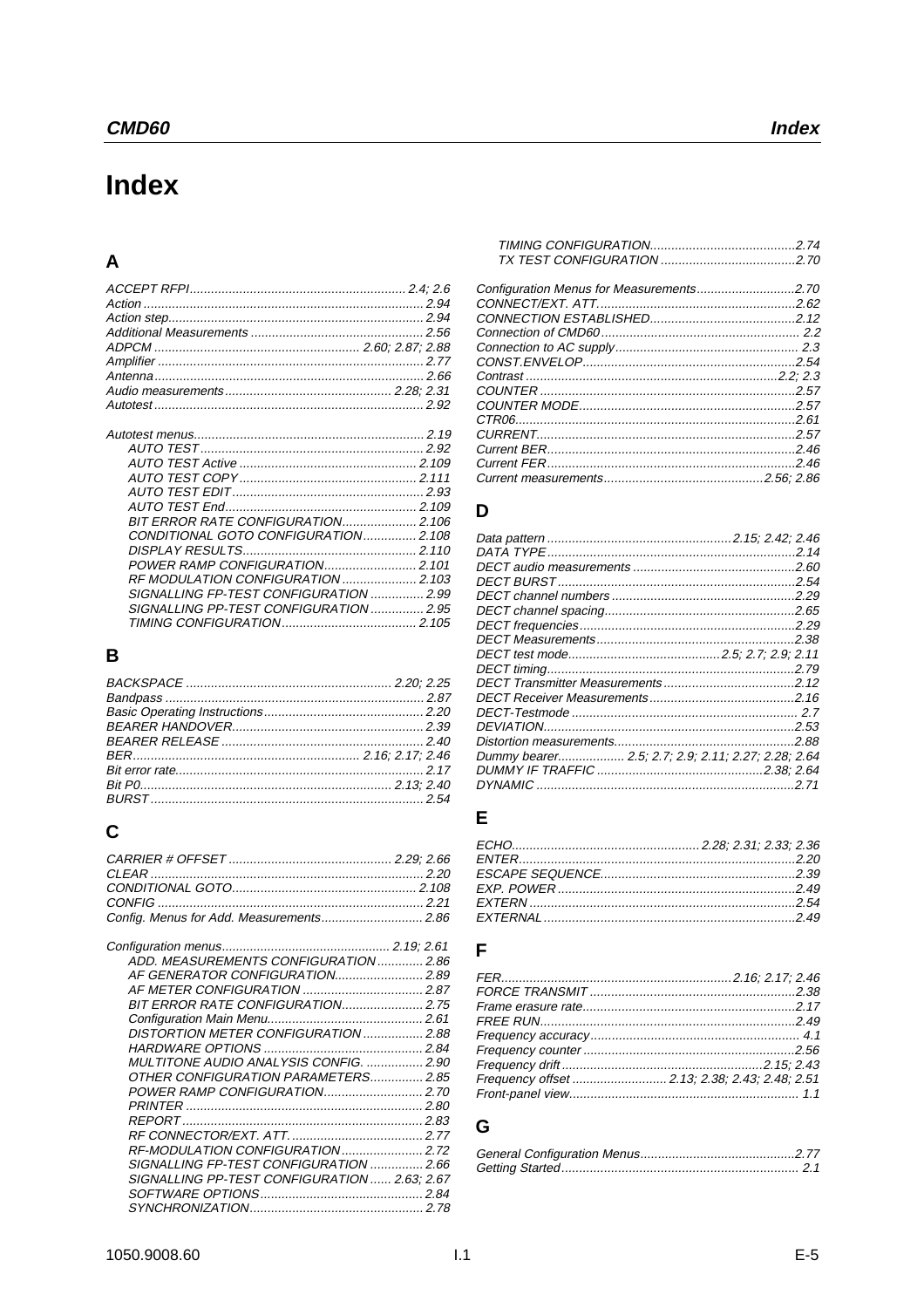# Index

### $\mathbf{A}$

| CONDITIONAL GOTO CONFIGURATION2.108    |  |
|----------------------------------------|--|
|                                        |  |
| POWER RAMP CONFIGURATION 2.101         |  |
|                                        |  |
|                                        |  |
| SIGNALLING PP-TEST CONFIGURATION  2.95 |  |
|                                        |  |

# $\mathbf B$

# $\mathbf C$

| ADD. MEASUREMENTS CONFIGURATION  2.86        |  |
|----------------------------------------------|--|
|                                              |  |
|                                              |  |
| <b>BIT ERROR RATE CONFIGURATION 2.75</b>     |  |
|                                              |  |
| DISTORTION METER CONFIGURATION  2.88         |  |
|                                              |  |
| MULTITONE AUDIO ANALYSIS CONFIG.  2.90       |  |
| OTHER CONFIGURATION PARAMETERS 2.85          |  |
|                                              |  |
|                                              |  |
|                                              |  |
|                                              |  |
|                                              |  |
| SIGNALLING FP-TEST CONFIGURATION  2.66       |  |
| SIGNALLING PP-TEST CONFIGURATION  2.63; 2.67 |  |
|                                              |  |
|                                              |  |
|                                              |  |

#### D

| Dummy bearer 2.5; 2.7; 2.9; 2.11; 2.27; 2.28; 2.64 |       |
|----------------------------------------------------|-------|
|                                                    |       |
|                                                    | .2.71 |

### $\mathsf{E}% _{0}\left( t\right) \equiv\mathsf{E}_{\mathrm{H}}\left( t\right)$

#### $\overline{F}$

| Frequency offset  2.13; 2.38; 2.43; 2.48; 2.51 |  |
|------------------------------------------------|--|
|                                                |  |
|                                                |  |

#### G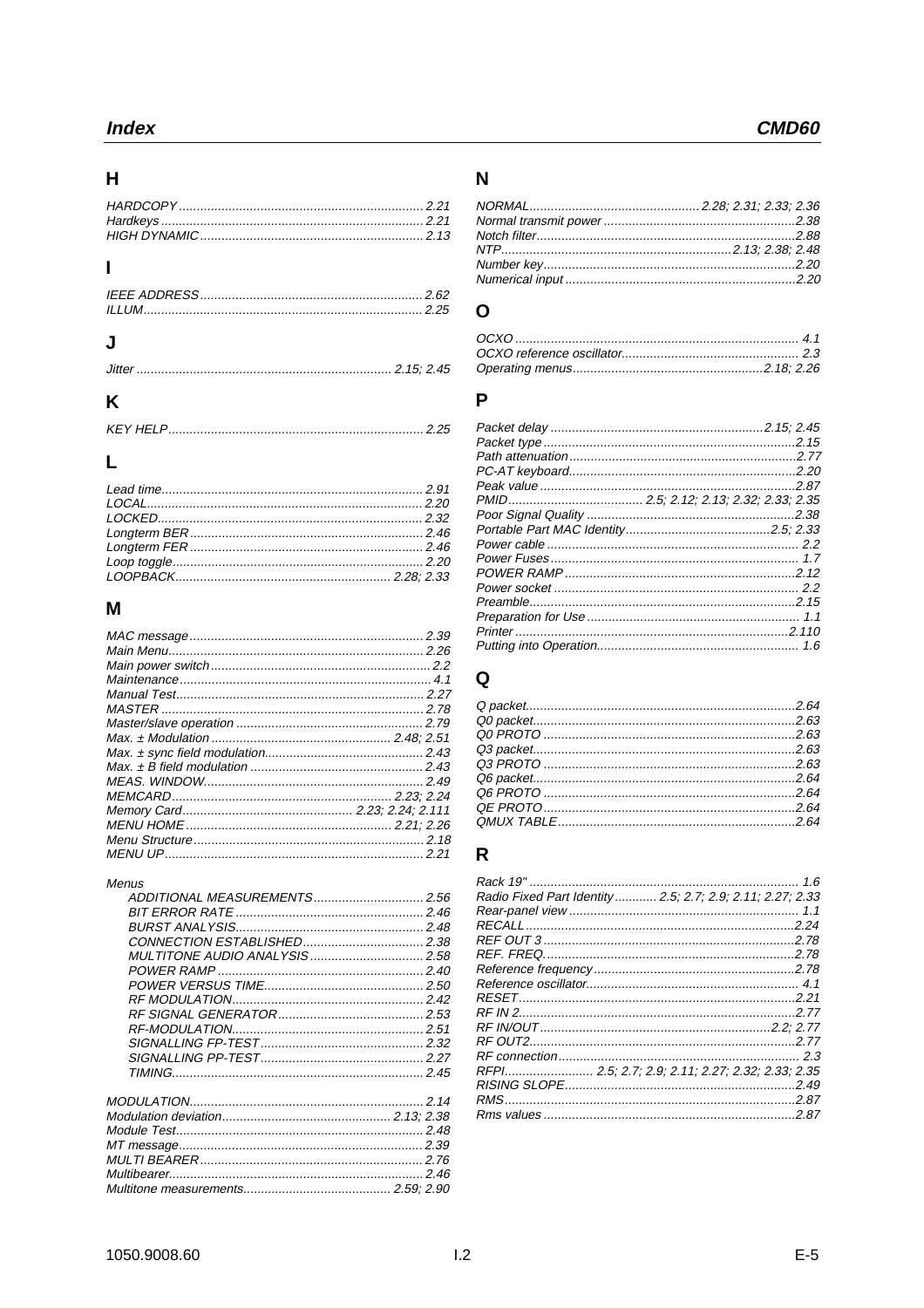### $\overline{\mathsf{H}}$

# $\overline{1}$

# $\mathsf{J}$

# $\mathsf{K}$

# $\mathbf{L}$

# $\mathsf{M}$

#### Menus

| ADDITIONAL MEASUREMENTS 2.56  |  |
|-------------------------------|--|
|                               |  |
|                               |  |
|                               |  |
| MULTITONE AUDIO ANALYSIS 2.58 |  |
|                               |  |
|                               |  |
|                               |  |
|                               |  |
|                               |  |
|                               |  |
|                               |  |
|                               |  |
|                               |  |
|                               |  |
|                               |  |
|                               |  |
|                               |  |
|                               |  |
|                               |  |
|                               |  |
|                               |  |

### $\overline{\mathsf{N}}$

# $\mathbf{o}$

#### $\mathsf{P}$

# $\mathbf Q$

# $\overline{\mathsf{R}}$

| Radio Fixed Part Identity  2.5; 2.7; 2.9; 2.11; 2.27; 2.33 |
|------------------------------------------------------------|
|                                                            |
|                                                            |
|                                                            |
|                                                            |
|                                                            |
|                                                            |
|                                                            |
|                                                            |
|                                                            |
|                                                            |
|                                                            |
| RFPI 2.5; 2.7; 2.9; 2.11; 2.27; 2.32; 2.33; 2.35           |
|                                                            |
|                                                            |
|                                                            |
|                                                            |